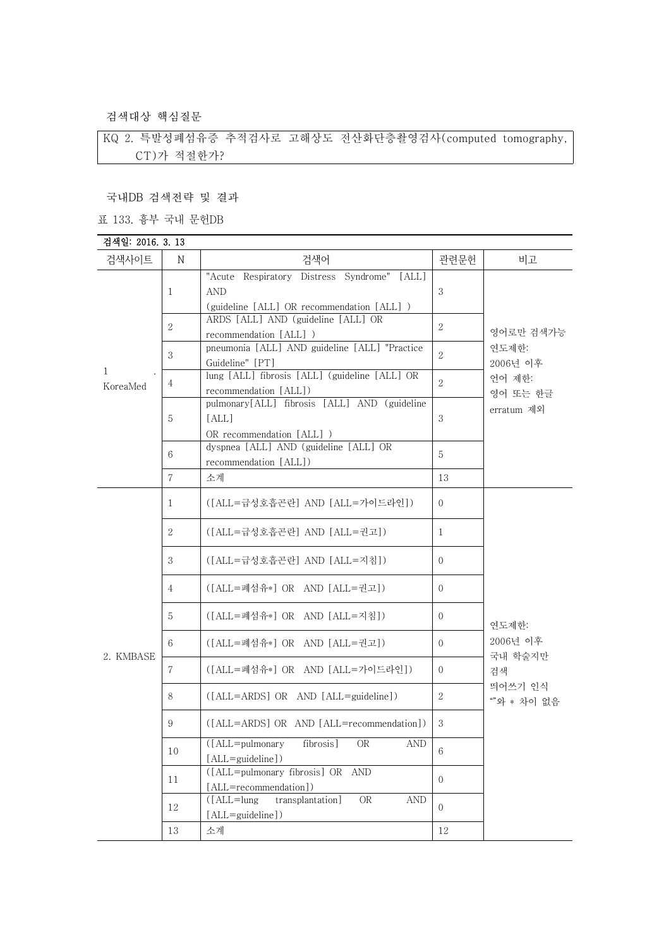검색대상 핵심질문

KQ 2. 특발성폐섬유증 추적검사로 고해상도 전산화단층촬영검사(computed tomography, CT)가 적절한가?

국내DB 검색전략 및 결과

표 133. 흉부 국내 문헌DB

| 검색일: 2016. 3. 13 |                |                                                                                                         |                |                                                              |
|------------------|----------------|---------------------------------------------------------------------------------------------------------|----------------|--------------------------------------------------------------|
| 검색사이트            | N              | 검색어                                                                                                     | 관련문헌           | 비고                                                           |
|                  | 1              | "Acute Respiratory Distress Syndrome" [ALL]<br><b>AND</b><br>(guideline [ALL] OR recommendation [ALL] ) | 3              | 영어로만 검색가능                                                    |
|                  | $\overline{2}$ | ARDS [ALL] AND (guideline [ALL] OR<br>recommendation [ALL] )                                            | 2              |                                                              |
| $\mathbf{1}$     | 3              | pneumonia [ALL] AND guideline [ALL] "Practice<br>Guideline" [PT]                                        | $\sqrt{2}$     | 연도제한:<br>2006년 이후                                            |
| KoreaMed         | 4              | lung [ALL] fibrosis [ALL] (guideline [ALL] OR<br>recommendation [ALL])                                  | $\overline{2}$ | 언어 제한:<br>영어 또는 한글<br>erratum 제외                             |
|                  | 5              | pulmonary[ALL] fibrosis [ALL] AND (guideline<br>[ALL]<br>OR recommendation [ALL] )                      | 3              |                                                              |
|                  | 6              | dyspnea [ALL] AND (guideline [ALL] OR<br>recommendation [ALL])                                          | 5              |                                                              |
|                  | $\overline{7}$ | 소계                                                                                                      | 13             |                                                              |
|                  | 1              | ([ALL=급성호흡곤란] AND [ALL=가이드라인])                                                                          | $\Omega$       |                                                              |
|                  | 2              | ([ALL=급성호흡곤란] AND [ALL=권고])                                                                             | 1              |                                                              |
|                  | 3              | ([ALL=급성호흡곤란] AND [ALL=지침])                                                                             | $\Omega$       | 연도제한:<br>2006년 이후<br>국내 학술지만<br>검색<br>띄어쓰기 인식<br>""와 * 차이 없음 |
|                  | $\overline{4}$ | ([ALL=폐섬유*] OR AND [ALL=권고])                                                                            | $\Omega$       |                                                              |
|                  | 5              | ([ALL=폐섬유*] OR AND [ALL=지침])                                                                            | $\Omega$       |                                                              |
| 2. KMBASE        | 6              | ([ALL=폐섬유*] OR AND [ALL=권고])                                                                            | $\Omega$       |                                                              |
|                  | 7              | ([ALL=폐섬유*] OR AND [ALL=가이드라인])                                                                         | $\Omega$       |                                                              |
|                  | 8              | ([ALL=ARDS] OR AND [ALL=guideline])                                                                     | $\sqrt{2}$     |                                                              |
|                  | 9              | ([ALL=ARDS] OR AND [ALL=recommendation])                                                                | 3              |                                                              |
|                  | 10             | ([ALL=pulmonary<br>fibrosis]<br><b>OR</b><br><b>AND</b><br>[ALL=guideline])                             | 6              |                                                              |
|                  | 11             | ([ALL=pulmonary fibrosis] OR AND<br>[ALL=recommendation])                                               | $\Omega$       |                                                              |
|                  | 12             | $(LAL = lung)$<br>transplantation]<br>${\rm OR}$<br><b>AND</b><br>[ALL=guideline])                      | $\overline{0}$ |                                                              |
|                  | $13\,$         | 소계                                                                                                      | $12\,$         |                                                              |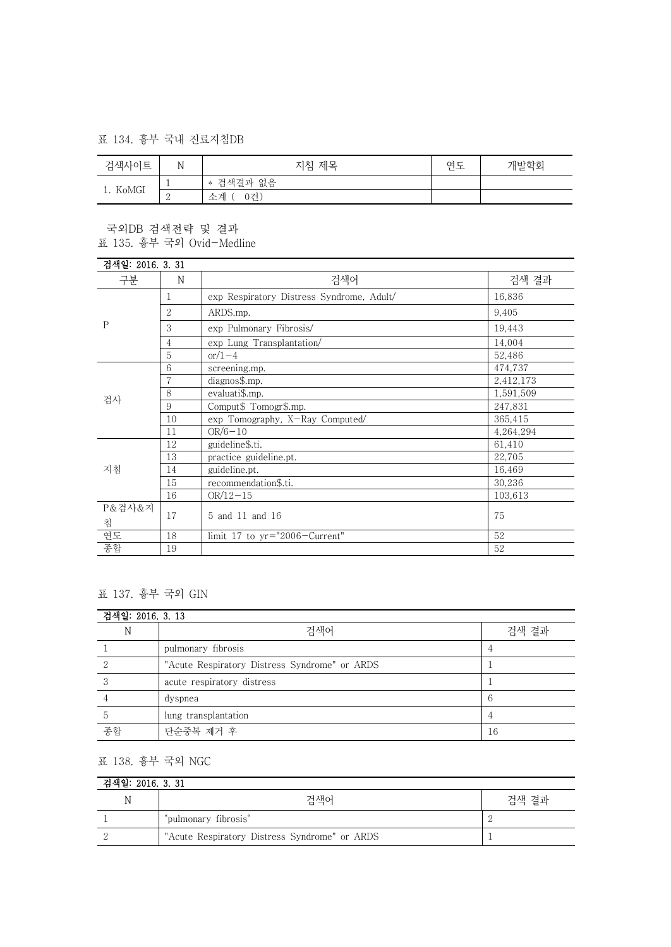표 134. 흉부 국내 진료지침DB

| 검색사이트    | N<br>. . <b>.</b> | 지침 제목     | 연도 | 개발학회 |
|----------|-------------------|-----------|----|------|
| 1. KoMGI | <b>.</b>          | * 검색결과 없음 |    |      |
|          | . .<br>↩          | 0건<br>소계  |    |      |

국외DB 검색전략 및 결과 표 135. 흉부 국외 Ovid-Medline

| 검색일: 2016. 3. 31 |    |                                           |           |
|------------------|----|-------------------------------------------|-----------|
| 구분               | N  | 검색어                                       | 검색 결과     |
|                  | 1  | exp Respiratory Distress Syndrome, Adult/ | 16,836    |
|                  | 2  | ARDS.mp.                                  | 9,405     |
| $\mathbf{P}$     | 3  | exp Pulmonary Fibrosis/                   | 19,443    |
|                  | 4  | exp Lung Transplantation/                 | 14,004    |
|                  | 5  | $\text{or}/1-4$                           | 52,486    |
|                  | 6  | screening.mp.                             | 474,737   |
|                  | 7  | diagnos\$.mp.                             | 2,412,173 |
|                  | 8  | evaluati\$.mp.                            | 1,591,509 |
| 검사               | 9  | Comput\$ Tomogr\$.mp.                     | 247,831   |
|                  | 10 | exp Tomography, X-Ray Computed/           | 365,415   |
|                  | 11 | $OR/6 - 10$                               | 4,264,294 |
| 지침               | 12 | guideline\$.ti.                           | 61,410    |
|                  | 13 | practice guideline.pt.                    | 22,705    |
|                  | 14 | guideline.pt.                             | 16,469    |
|                  | 15 | recommendation\$.ti.                      | 30,236    |
|                  | 16 | $OR/12-15$                                | 103,613   |
| P&검사&지<br>침      | 17 | 5 and 11 and 16                           | 75        |
| 연도               | 18 | limit 17 to $yr="2006-Current"$           | 52        |
| 종합               | 19 |                                           | 52        |

## 표 137. 흉부 국외 GIN

| 검색일: 2016. 3. 13 |                                               |       |
|------------------|-----------------------------------------------|-------|
| N                | 검색어                                           | 검색 결과 |
|                  | pulmonary fibrosis                            |       |
|                  | "Acute Respiratory Distress Syndrome" or ARDS |       |
|                  | acute respiratory distress                    |       |
|                  | dyspnea                                       |       |
|                  | lung transplantation                          |       |
| 종합               | 단순중복 제거 후                                     | 16    |

표 138. 흉부 국외 NGC

| 검색일: 2016. 3. 31 |                                               |       |  |
|------------------|-----------------------------------------------|-------|--|
| N                | 검색어                                           | 검색 결과 |  |
|                  | "pulmonary fibrosis"                          |       |  |
|                  | "Acute Respiratory Distress Syndrome" or ARDS |       |  |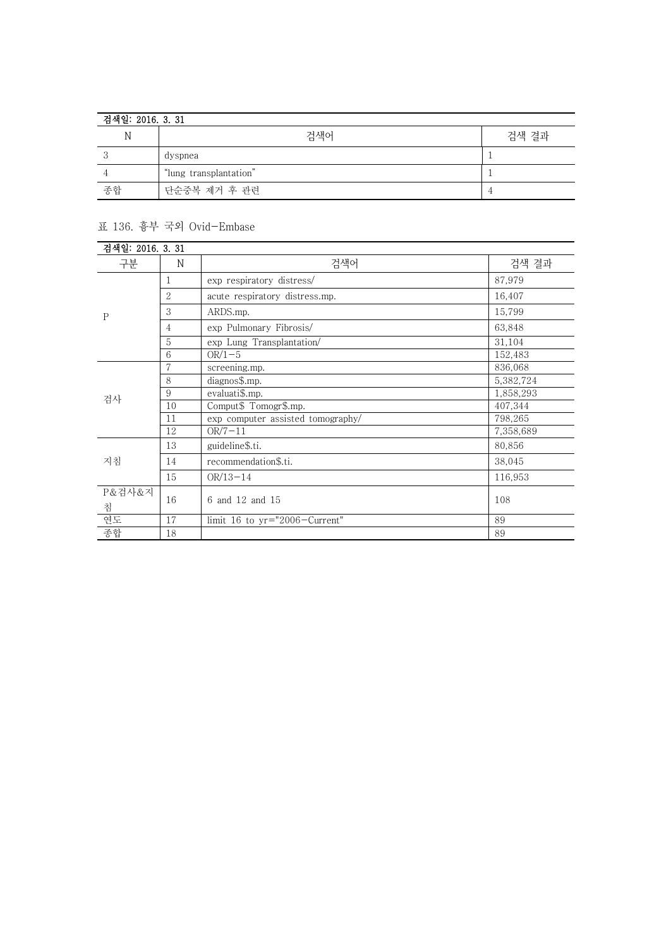| 검색일: 2016. 3. 31 |                        |       |  |
|------------------|------------------------|-------|--|
| N                | 검색어                    | 검색 결과 |  |
|                  | dyspnea                |       |  |
|                  | "lung transplantation" |       |  |
| 종합               | 단순중복 제거 후 관련           |       |  |

## 표 136. 흉부 국외 Ovid-Embase

| 검색일: 2016. 3. 31 |    |                                   |           |
|------------------|----|-----------------------------------|-----------|
| 구분               | N  | 검색어                               | 검색 결과     |
| $\mathbf{P}$     | 1  | exp respiratory distress/         | 87,979    |
|                  | 2  | acute respiratory distress.mp.    | 16,407    |
|                  | 3  | ARDS.mp.                          | 15,799    |
|                  | 4  | exp Pulmonary Fibrosis/           | 63,848    |
|                  | 5  | exp Lung Transplantation/         | 31,104    |
|                  | 6  | $OR/1-5$                          | 152,483   |
|                  | 7  | screening.mp.                     | 836,068   |
|                  | 8  | diagnos\$.mp.                     | 5,382,724 |
|                  | 9  | evaluati\$.mp.                    | 1,858,293 |
| 검사               | 10 | Comput\$ Tomogr\$.mp.             | 407,344   |
|                  | 11 | exp computer assisted tomography/ | 798,265   |
|                  | 12 | $OR/7 - 11$                       | 7,358,689 |
| 지침               | 13 | guideline\$.ti.                   | 80,856    |
|                  | 14 | recommendation\$.ti.              | 38,045    |
|                  | 15 | $OR/13 - 14$                      | 116,953   |
| P&검사&지<br>침      | 16 | 6 and 12 and 15                   | 108       |
| 연도               | 17 | limit 16 to $yr="2006-Current"$   | 89        |
| 종합               | 18 |                                   | 89        |